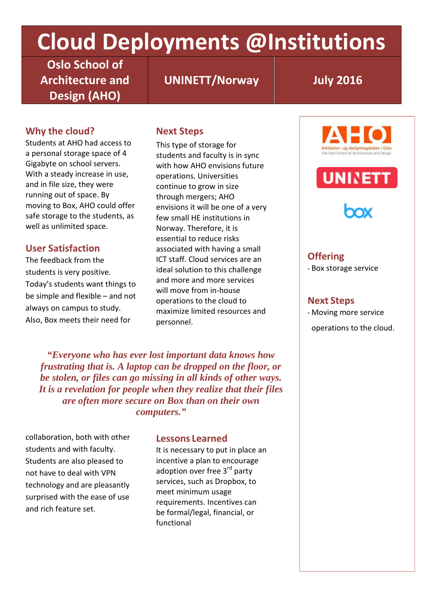# **Cloud Deployments @Institutions**

**Oslo School of Architecture and Design (AHO)**

**UNINETT/Norway July 2016**

# **Why the cloud?**

Students at AHO had access to a personal storage space of 4 Gigabyte on school servers. With a steady increase in use, and in file size, they were running out of space. By moving to Box, AHO could offer safe storage to the students, as well as unlimited space.

# **User Satisfaction**

The feedback from the students is very positive. Today's students want things to be simple and flexible – and not always on campus to study. Also, Box meets their need for

# **Next Steps**

This type of storage for students and faculty is in sync with how AHO envisions future operations. Universities continue to grow in size through mergers; AHO envisions it will be one of a very few small HE institutions in Norway. Therefore, it is essential to reduce risks associated with having a small ICT staff. Cloud services are an ideal solution to this challenge and more and more services will move from in-house operations to the cloud to maximize limited resources and personnel.

*"Everyone who has ever lost important data knows how frustrating that is. A laptop can be dropped on the floor, or be stolen, or files can go missing in all kinds of other ways. It is a revelation for people when they realize that their files are often more secure on Box than on their own computers."*

collaboration, both with other students and with faculty. Students are also pleased to not have to deal with VPN technology and are pleasantly surprised with the ease of use and rich feature set.

#### **Lessons Learned**

It is necessary to put in place an incentive a plan to encourage adoption over free 3<sup>rd</sup> party services, such as Dropbox, to meet minimum usage requirements. Incentives can be formal/legal, financial, or functional







# **Offering**

▪ Box storage service

#### **Next Steps**

▪ Moving more service

operations to the cloud.